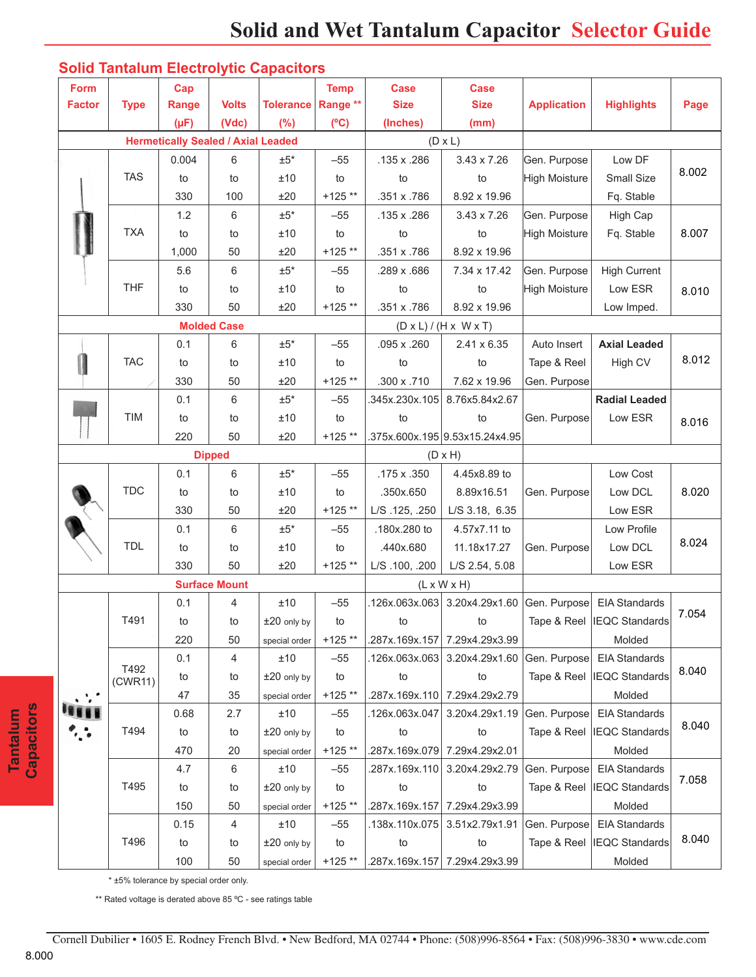| Form          |                 | Cap                                       |                      |                  | <b>Temp</b> | <b>Case</b>    | <b>Case</b>                            |                    |                             |       |
|---------------|-----------------|-------------------------------------------|----------------------|------------------|-------------|----------------|----------------------------------------|--------------------|-----------------------------|-------|
| <b>Factor</b> | <b>Type</b>     | Range                                     | <b>Volts</b>         | <b>Tolerance</b> | Range **    | <b>Size</b>    | <b>Size</b>                            | <b>Application</b> | <b>Highlights</b>           | Page  |
|               |                 | $(\mu F)$                                 | (Vdc)                | (%)              | (C)         | (Inches)       | (mm)                                   |                    |                             |       |
|               |                 | <b>Hermetically Sealed / Axial Leaded</b> |                      |                  |             |                | $(D \times L)$                         |                    |                             |       |
|               |                 | 0.004                                     | 6                    | $±5*$            | $-55$       | .135 x .286    | 3.43 x 7.26                            | Gen. Purpose       | Low DF                      |       |
|               | <b>TAS</b>      | to                                        | to                   | ±10              | to          | to             | to                                     | High Moisture      | Small Size                  | 8.002 |
|               |                 | 330                                       | 100                  | ±20              | $+125**$    | .351 x .786    | 8.92 x 19.96                           |                    | Fq. Stable                  |       |
|               |                 | 1.2                                       | 6                    | $±5*$            | $-55$       | .135 x .286    | $3.43 \times 7.26$                     | Gen. Purpose       | High Cap                    |       |
|               | <b>TXA</b>      | to                                        | to                   | ±10              | to          | to             | to                                     | High Moisture      | Fq. Stable                  | 8.007 |
|               |                 | 1,000                                     | 50                   | ±20              | $+125**$    | .351 x .786    | 8.92 x 19.96                           |                    |                             |       |
|               |                 | 5.6                                       | 6                    | $±5*$            | $-55$       | .289 x .686    | 7.34 x 17.42                           | Gen. Purpose       | <b>High Current</b>         | 8.010 |
|               | <b>THF</b>      | to                                        | to                   | ±10              | to          | to             | to                                     | High Moisture      | Low ESR                     |       |
|               |                 | 330                                       | 50                   | ±20              | $+125**$    | .351 x .786    | 8.92 x 19.96                           |                    | Low Imped.                  |       |
|               |                 |                                           | <b>Molded Case</b>   |                  |             |                | $(D \times L) / (H \times W \times T)$ |                    |                             |       |
|               |                 | 0.1                                       | 6                    | $\pm 5^*$        | $-55$       | .095 x .260    | 2.41 x 6.35                            | Auto Insert        | <b>Axial Leaded</b>         |       |
|               | <b>TAC</b>      | to                                        | to                   | ±10              | to          | to             | to                                     | Tape & Reel        | High CV                     | 8.012 |
|               |                 | 330                                       | 50                   | ±20              | $+125**$    | .300 x .710    | 7.62 x 19.96                           | Gen. Purpose       |                             |       |
|               |                 | 0.1                                       | 6                    | $±5*$            | $-55$       | 345x.230x.105  | 8.76x5.84x2.67                         |                    | <b>Radial Leaded</b>        |       |
|               | <b>TIM</b>      | to                                        | to                   | ±10              | to          | to             | to                                     | Gen. Purpose       | Low ESR                     | 8.016 |
|               |                 | 220                                       | 50                   | ±20              | $+125**$    |                | .375x.600x.195 9.53x15.24x4.95         |                    |                             |       |
|               |                 |                                           | <b>Dipped</b>        |                  |             |                | $(D \times H)$                         |                    |                             |       |
|               |                 | 0.1                                       | 6                    | $\pm 5^*$        | $-55$       | .175 x .350    | 4.45x8.89 to                           |                    | Low Cost                    |       |
|               | <b>TDC</b>      | to                                        | to                   | ±10              | to          | .350x.650      | 8.89x16.51                             | Gen. Purpose       | Low DCL                     | 8.020 |
|               |                 | 330                                       | 50                   | ±20              | $+125**$    | L/S.125, 250   | L/S 3.18, 6.35                         |                    | Low ESR                     |       |
|               | <b>TDL</b>      | 0.1                                       | 6                    | $±5*$            | $-55$       | .180x.280 to   | 4.57x7.11 to                           |                    | Low Profile                 | 8.024 |
|               |                 | to                                        | to                   | ±10              | to          | .440x.680      | 11.18x17.27                            | Gen. Purpose       | Low DCL                     |       |
|               |                 | 330                                       | 50                   | ±20              | $+125**$    | L/S.100, .200  | L/S 2.54, 5.08                         |                    | Low ESR                     |       |
|               |                 |                                           | <b>Surface Mount</b> |                  |             |                | $(L \times W \times H)$                |                    |                             |       |
|               |                 | 0.1                                       | 4                    | $\pm 10$         | $-55$       | .126x.063x.063 | 3.20x4.29x1.60                         |                    | Gen. Purpose EIA Standards  |       |
|               | T491            | to                                        | to                   | $±20$ only by    | to          | to             | to                                     |                    | Tape & Reel  IEQC Standards | 7.054 |
|               |                 | 220                                       | 50                   | special order    | $+125**$    |                | .287x.169x.157   7.29x4.29x3.99        |                    | Molded                      |       |
|               |                 | 0.1                                       | 4                    | ±10              | $-55$       | .126x.063x.063 | 3.20x4.29x1.60                         | Gen. Purpose       | <b>EIA Standards</b>        | 8.040 |
|               | T492<br>(CWR11) | to                                        | to                   | $±20$ only by    | to          | to             | to                                     | Tape & Reel        | <b>IEQC</b> Standards       |       |
|               |                 | 47                                        | 35                   | special order    | $+125**$    | .287x.169x.110 | 7.29x4.29x2.79                         |                    | Molded                      |       |
|               | T494            | 0.68                                      | 2.7                  | $\pm 10$         | $-55$       | .126x.063x.047 | 3.20x4.29x1.19                         | Gen. Purpose       | <b>EIA Standards</b>        | 8.040 |
|               |                 | to                                        | to                   | $±20$ only by    | to          | to             | to                                     | Tape & Reel        | <b>IEQC Standards</b>       |       |
|               |                 | 470                                       | $20\,$               | special order    | $+125**$    | .287x.169x.079 | 7.29x4.29x2.01                         |                    | Molded                      |       |
|               | T495            | 4.7                                       | 6                    | ±10              | $-55$       | .287x.169x.110 | 3.20x4.29x2.79                         | Gen. Purpose       | <b>EIA Standards</b>        | 7.058 |
|               |                 | to                                        | to                   | $±20$ only by    | to          | to             | to                                     | Tape & Reel        | <b>IEQC Standards</b>       |       |
|               |                 | 150                                       | 50                   | special order    | $+125**$    | 287x.169x.157  | 7.29x4.29x3.99                         |                    | Molded                      |       |
|               |                 | 0.15                                      | 4                    | ±10              | $-55$       | .138x.110x.075 | 3.51x2.79x1.91                         | Gen. Purpose       | <b>EIA Standards</b>        |       |
|               | T496            | to                                        | to                   | $±20$ only by    | to          | to             | to                                     | Tape & Reel        | <b>IEQC Standards</b>       | 8.040 |
|               |                 | 100                                       | 50                   |                  | $+125**$    |                | .287x.169x.157 7.29x4.29x3.99          |                    | Molded                      |       |
|               |                 |                                           |                      | special order    |             |                |                                        |                    |                             |       |

## **Solid Tantalum Electrolytic Capacitors**

\* ±5% tolerance by special order only.

\*\* Rated voltage is derated above 85 °C - see ratings table

**Tantalum Capacitors**

Tantalum<br>Capacitors